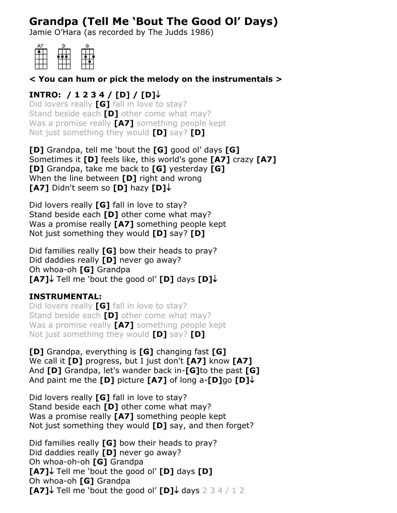# **Grandpa (Tell Me 'Bout The Good Ol' Days)**

Jamie O'Hara (as recorded by The Judds 1986)

| D |  |
|---|--|
|   |  |
|   |  |
|   |  |
|   |  |

### **< You can hum or pick the melody on the instrumentals >**

## **INTRO: / 1 2 3 4 / [D] / [D]**

Did lovers really **[G]** fall in love to stay? Stand beside each **[D]** other come what may? Was a promise really **[A7]** something people kept Not just something they would **[D]** say? **[D]**

**[D]** Grandpa, tell me 'bout the **[G]** good ol' days **[G]** Sometimes it **[D]** feels like, this world's gone **[A7]** crazy **[A7] [D]** Grandpa, take me back to **[G]** yesterday **[G]** When the line between **[D]** right and wrong **[A7]** Didn't seem so **[D]** hazy **[D]**

Did lovers really **[G]** fall in love to stay? Stand beside each **[D]** other come what may? Was a promise really **[A7]** something people kept Not just something they would **[D]** say? **[D]**

Did families really **[G]** bow their heads to pray? Did daddies really **[D]** never go away? Oh whoa-oh **[G]** Grandpa **[A7]** Tell me 'bout the good ol' **[D]** days **[D]**

# **INSTRUMENTAL:**

Did lovers really **[G]** fall in love to stay? Stand beside each **[D]** other come what may? Was a promise really **[A7]** something people kept Not just something they would **[D]** say? **[D]**

**[D]** Grandpa, everything is **[G]** changing fast **[G]** We call it **[D]** progress, but I just don't **[A7]** know **[A7]** And **[D]** Grandpa, let's wander back in-**[G]**to the past **[G]** And paint me the **[D]** picture **[A7]** of long a-**[D]**go **[D]**

Did lovers really **[G]** fall in love to stay? Stand beside each **[D]** other come what may? Was a promise really **[A7]** something people kept Not just something they would **[D]** say, and then forget?

Did families really **[G]** bow their heads to pray? Did daddies really **[D]** never go away? Oh whoa-oh-oh **[G]** Grandpa **[A7]** Tell me 'bout the good ol' **[D]** days **[D]** Oh whoa-oh **[G]** Grandpa **[A7]** $\downarrow$  Tell me 'bout the good ol' **[D]** $\downarrow$  days 2 3 4 / 1 2